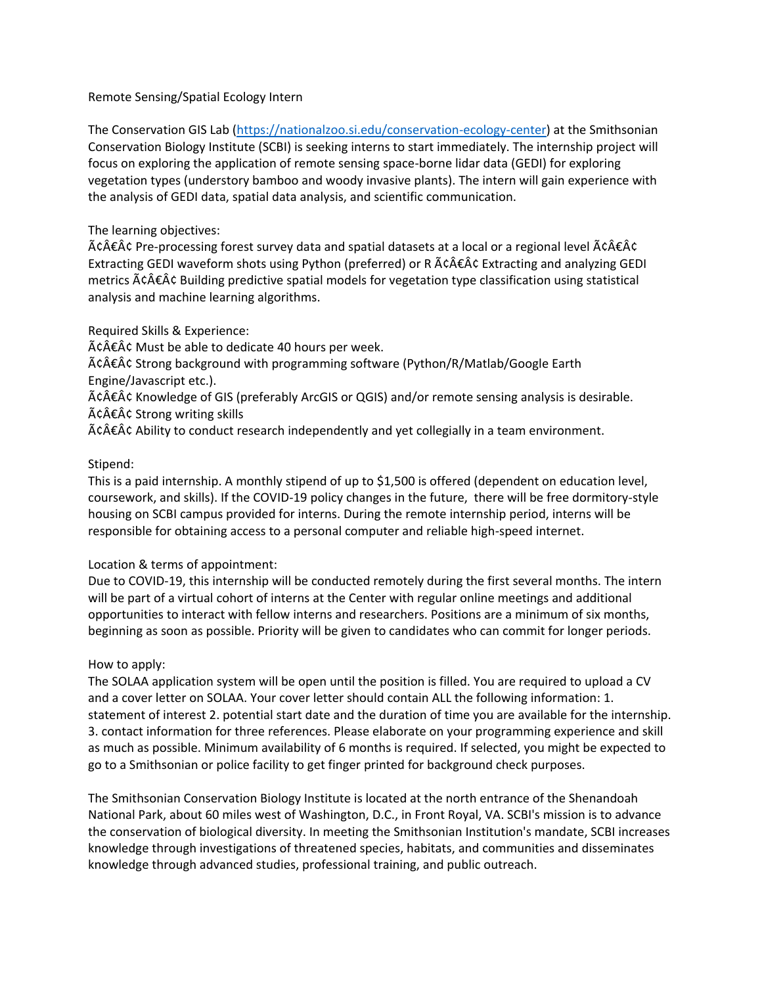## Remote Sensing/Spatial Ecology Intern

The Conservation GIS Lab [\(https://nationalzoo.si.edu/conservation-ecology-center\)](https://nationalzoo.si.edu/conservation-ecology-center) at the Smithsonian Conservation Biology Institute (SCBI) is seeking interns to start immediately. The internship project will focus on exploring the application of remote sensing space-borne lidar data (GEDI) for exploring vegetation types (understory bamboo and woody invasive plants). The intern will gain experience with the analysis of GEDI data, spatial data analysis, and scientific communication.

## The learning objectives:

 $\tilde{A}$ c $\hat{A}$  Pre-processing forest survey data and spatial datasets at a local or a regional level  $\tilde{A}$ c $\hat{A}$ c $\hat{A}$ c $\hat{C}$ Extracting GEDI waveform shots using Python (preferred) or R  $\tilde{A}$ c $\hat{A}$  $\hat{\epsilon}$ A $\hat{\epsilon}$  Extracting and analyzing GEDI metrics  $\tilde{A} \tilde{c} \hat{A} \tilde{c} \hat{A} \tilde{c}$  Building predictive spatial models for vegetation type classification using statistical analysis and machine learning algorithms.

Required Skills & Experience:

 $\tilde{A}$ c $\hat{A}$  $\hat{\epsilon}$  $\hat{A}$ c $\hat{\epsilon}$  Must be able to dedicate 40 hours per week.

 $\tilde{A}$ c $\hat{A}$  E $\hat{A}$ c Strong background with programming software (Python/R/Matlab/Google Earth Engine/Javascript etc.).

â€Â¢ Knowledge of GIS (preferably ArcGIS or QGIS) and/or remote sensing analysis is desirable.  $\tilde{A} \tilde{c} \tilde{A} \tilde{c}$  Strong writing skills

 $\tilde{A}$ c $\hat{A}$  $\hat{\epsilon}$  $\hat{A}$ c $\hat{\epsilon}$  Ability to conduct research independently and yet collegially in a team environment.

## Stipend:

This is a paid internship. A monthly stipend of up to \$1,500 is offered (dependent on education level, coursework, and skills). If the COVID-19 policy changes in the future, there will be free dormitory-style housing on SCBI campus provided for interns. During the remote internship period, interns will be responsible for obtaining access to a personal computer and reliable high-speed internet.

# Location & terms of appointment:

Due to COVID-19, this internship will be conducted remotely during the first several months. The intern will be part of a virtual cohort of interns at the Center with regular online meetings and additional opportunities to interact with fellow interns and researchers. Positions are a minimum of six months, beginning as soon as possible. Priority will be given to candidates who can commit for longer periods.

# How to apply:

The SOLAA application system will be open until the position is filled. You are required to upload a CV and a cover letter on SOLAA. Your cover letter should contain ALL the following information: 1. statement of interest 2. potential start date and the duration of time you are available for the internship. 3. contact information for three references. Please elaborate on your programming experience and skill as much as possible. Minimum availability of 6 months is required. If selected, you might be expected to go to a Smithsonian or police facility to get finger printed for background check purposes.

The Smithsonian Conservation Biology Institute is located at the north entrance of the Shenandoah National Park, about 60 miles west of Washington, D.C., in Front Royal, VA. SCBI's mission is to advance the conservation of biological diversity. In meeting the Smithsonian Institution's mandate, SCBI increases knowledge through investigations of threatened species, habitats, and communities and disseminates knowledge through advanced studies, professional training, and public outreach.